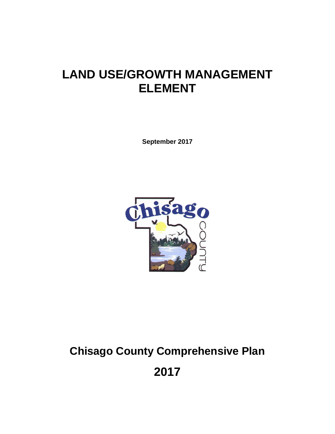# **LAND USE/GROWTH MANAGEMENT ELEMENT**

**September 2017** 



# **Chisago County Comprehensive Plan**

**2017**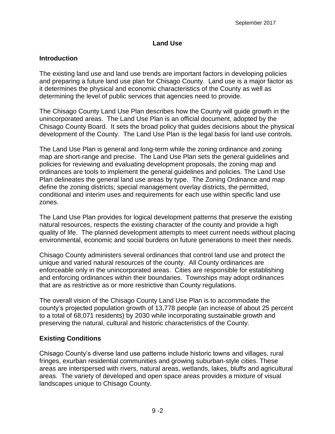#### **Land Use**

#### **Introduction**

The existing land use and land use trends are important factors in developing policies and preparing a future land use plan for Chisago County. Land use is a major factor as it determines the physical and economic characteristics of the County as well as determining the level of public services that agencies need to provide.

The Chisago County Land Use Plan describes how the County will guide growth in the unincorporated areas. The Land Use Plan is an official document, adopted by the Chisago County Board. It sets the broad policy that guides decisions about the physical development of the County. The Land Use Plan is the legal basis for land use controls.

The Land Use Plan is general and long-term while the zoning ordinance and zoning map are short-range and precise. The Land Use Plan sets the general guidelines and policies for reviewing and evaluating development proposals, the zoning map and ordinances are tools to implement the general guidelines and policies. The Land Use Plan delineates the general land use areas by type. The Zoning Ordinance and map define the zoning districts; special management overlay districts, the permitted, conditional and interim uses and requirements for each use within specific land use zones.

The Land Use Plan provides for logical development patterns that preserve the existing natural resources, respects the existing character of the county and provide a high quality of life. The planned development attempts to meet current needs without placing environmental, economic and social burdens on future generations to meet their needs.

Chisago County administers several ordinances that control land use and protect the unique and varied natural resources of the county. All County ordinances are enforceable only in the unincorporated areas. Cities are responsible for establishing and enforcing ordinances within their boundaries. Townships may adopt ordinances that are as restrictive as or more restrictive than County regulations.

The overall vision of the Chisago County Land Use Plan is to accommodate the county's projected population growth of 13,778 people (an increase of about 25 percent to a total of 68,071 residents) by 2030 while incorporating sustainable growth and preserving the natural, cultural and historic characteristics of the County.

#### **Existing Conditions**

Chisago County's diverse land use patterns include historic towns and villages, rural fringes, exurban residential communities and growing suburban-style cities. These areas are interspersed with rivers, natural areas, wetlands, lakes, bluffs and agricultural areas. The variety of developed and open space areas provides a mixture of visual landscapes unique to Chisago County.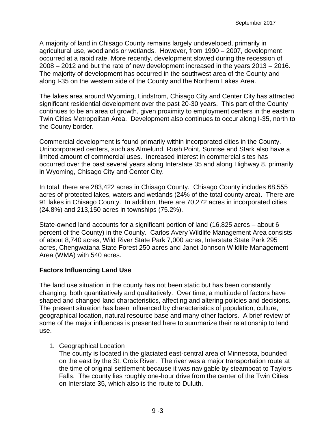A majority of land in Chisago County remains largely undeveloped, primarily in agricultural use, woodlands or wetlands. However, from 1990 – 2007, development occurred at a rapid rate. More recently, development slowed during the recession of 2008 – 2012 and but the rate of new development increased in the years 2013 – 2016. The majority of development has occurred in the southwest area of the County and along I-35 on the western side of the County and the Northern Lakes Area.

The lakes area around Wyoming, Lindstrom, Chisago City and Center City has attracted significant residential development over the past 20-30 years. This part of the County continues to be an area of growth, given proximity to employment centers in the eastern Twin Cities Metropolitan Area. Development also continues to occur along I-35, north to the County border.

Commercial development is found primarily within incorporated cities in the County. Unincorporated centers, such as Almelund, Rush Point, Sunrise and Stark also have a limited amount of commercial uses. Increased interest in commercial sites has occurred over the past several years along Interstate 35 and along Highway 8, primarily in Wyoming, Chisago City and Center City.

In total, there are 283,422 acres in Chisago County. Chisago County includes 68,555 acres of protected lakes, waters and wetlands (24% of the total county area). There are 91 lakes in Chisago County. In addition, there are 70,272 acres in incorporated cities (24.8%) and 213,150 acres in townships (75.2%).

State-owned land accounts for a significant portion of land (16,825 acres – about 6 percent of the County) in the County. Carlos Avery Wildlife Management Area consists of about 8,740 acres, Wild River State Park 7,000 acres, Interstate State Park 295 acres, Chengwatana State Forest 250 acres and Janet Johnson Wildlife Management Area (WMA) with 540 acres.

#### **Factors Influencing Land Use**

The land use situation in the county has not been static but has been constantly changing, both quantitatively and qualitatively. Over time, a multitude of factors have shaped and changed land characteristics, affecting and altering policies and decisions. The present situation has been influenced by characteristics of population, culture, geographical location, natural resource base and many other factors. A brief review of some of the major influences is presented here to summarize their relationship to land use.

1. Geographical Location

The county is located in the glaciated east-central area of Minnesota, bounded on the east by the St. Croix River. The river was a major transportation route at the time of original settlement because it was navigable by steamboat to Taylors Falls. The county lies roughly one-hour drive from the center of the Twin Cities on Interstate 35, which also is the route to Duluth.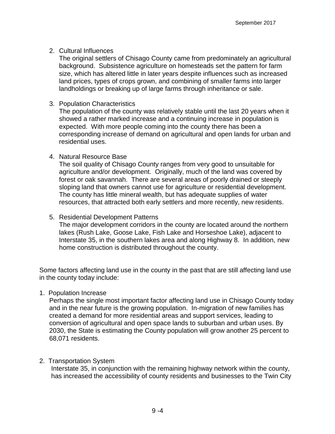#### 2. Cultural Influences

The original settlers of Chisago County came from predominately an agricultural background. Subsistence agriculture on homesteads set the pattern for farm size, which has altered little in later years despite influences such as increased land prices, types of crops grown, and combining of smaller farms into larger landholdings or breaking up of large farms through inheritance or sale.

#### 3. Population Characteristics

The population of the county was relatively stable until the last 20 years when it showed a rather marked increase and a continuing increase in population is expected. With more people coming into the county there has been a corresponding increase of demand on agricultural and open lands for urban and residential uses.

#### 4. Natural Resource Base

The soil quality of Chisago County ranges from very good to unsuitable for agriculture and/or development. Originally, much of the land was covered by forest or oak savannah. There are several areas of poorly drained or steeply sloping land that owners cannot use for agriculture or residential development. The county has little mineral wealth, but has adequate supplies of water resources, that attracted both early settlers and more recently, new residents.

#### 5. Residential Development Patterns

The major development corridors in the county are located around the northern lakes (Rush Lake, Goose Lake, Fish Lake and Horseshoe Lake), adjacent to Interstate 35, in the southern lakes area and along Highway 8. In addition, new home construction is distributed throughout the county.

Some factors affecting land use in the county in the past that are still affecting land use in the county today include:

#### 1. Population Increase

Perhaps the single most important factor affecting land use in Chisago County today and in the near future is the growing population. In-migration of new families has created a demand for more residential areas and support services, leading to conversion of agricultural and open space lands to suburban and urban uses. By 2030, the State is estimating the County population will grow another 25 percent to 68,071 residents.

# 2. Transportation System

Interstate 35, in conjunction with the remaining highway network within the county, has increased the accessibility of county residents and businesses to the Twin City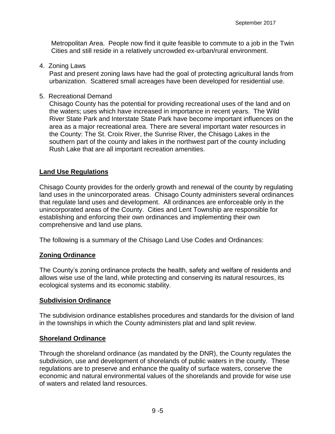Metropolitan Area. People now find it quite feasible to commute to a job in the Twin Cities and still reside in a relatively uncrowded ex-urban/rural environment.

4. Zoning Laws

Past and present zoning laws have had the goal of protecting agricultural lands from urbanization. Scattered small acreages have been developed for residential use.

5. Recreational Demand

Chisago County has the potential for providing recreational uses of the land and on the waters; uses which have increased in importance in recent years. The Wild River State Park and Interstate State Park have become important influences on the area as a major recreational area. There are several important water resources in the County: The St. Croix River, the Sunrise River, the Chisago Lakes in the southern part of the county and lakes in the northwest part of the county including Rush Lake that are all important recreation amenities.

#### **Land Use Regulations**

Chisago County provides for the orderly growth and renewal of the county by regulating land uses in the unincorporated areas. Chisago County administers several ordinances that regulate land uses and development. All ordinances are enforceable only in the unincorporated areas of the County. Cities and Lent Township are responsible for establishing and enforcing their own ordinances and implementing their own comprehensive and land use plans.

The following is a summary of the Chisago Land Use Codes and Ordinances:

#### **Zoning Ordinance**

The County's zoning ordinance protects the health, safety and welfare of residents and allows wise use of the land, while protecting and conserving its natural resources, its ecological systems and its economic stability.

#### **Subdivision Ordinance**

The subdivision ordinance establishes procedures and standards for the division of land in the townships in which the County administers plat and land split review.

#### **Shoreland Ordinance**

Through the shoreland ordinance (as mandated by the DNR), the County regulates the subdivision, use and development of shorelands of public waters in the county. These regulations are to preserve and enhance the quality of surface waters, conserve the economic and natural environmental values of the shorelands and provide for wise use of waters and related land resources.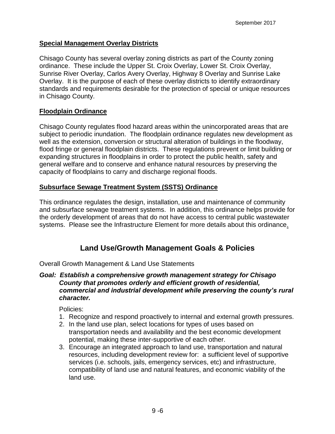### **Special Management Overlay Districts**

Chisago County has several overlay zoning districts as part of the County zoning ordinance. These include the Upper St. Croix Overlay, Lower St. Croix Overlay, Sunrise River Overlay, Carlos Avery Overlay, Highway 8 Overlay and Sunrise Lake Overlay. It is the purpose of each of these overlay districts to identify extraordinary standards and requirements desirable for the protection of special or unique resources in Chisago County.

#### **Floodplain Ordinance**

Chisago County regulates flood hazard areas within the unincorporated areas that are subject to periodic inundation. The floodplain ordinance regulates new development as well as the extension, conversion or structural alteration of buildings in the floodway, flood fringe or general floodplain districts. These regulations prevent or limit building or expanding structures in floodplains in order to protect the public health, safety and general welfare and to conserve and enhance natural resources by preserving the capacity of floodplains to carry and discharge regional floods.

# **Subsurface Sewage Treatment System (SSTS) Ordinance**

This ordinance regulates the design, installation, use and maintenance of community and subsurface sewage treatment systems. In addition, this ordinance helps provide for the orderly development of areas that do not have access to central public wastewater systems. Please see the Infrastructure Element for more details about this ordinance.

# **Land Use/Growth Management Goals & Policies**

Overall Growth Management & Land Use Statements

#### *Goal: Establish a comprehensive growth management strategy for Chisago County that promotes orderly and efficient growth of residential, commercial and industrial development while preserving the county's rural character.*

- 1. Recognize and respond proactively to internal and external growth pressures.
- 2. In the land use plan, select locations for types of uses based on transportation needs and availability and the best economic development potential, making these inter-supportive of each other.
- 3. Encourage an integrated approach to land use, transportation and natural resources, including development review for: a sufficient level of supportive services (i.e. schools, jails, emergency services, etc) and infrastructure, compatibility of land use and natural features, and economic viability of the land use.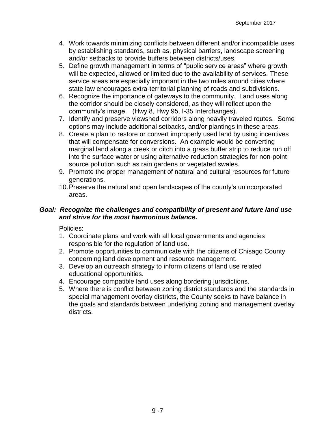- 4. Work towards minimizing conflicts between different and/or incompatible uses by establishing standards, such as, physical barriers, landscape screening and/or setbacks to provide buffers between districts/uses.
- 5. Define growth management in terms of "public service areas" where growth will be expected, allowed or limited due to the availability of services. These service areas are especially important in the two miles around cities where state law encourages extra-territorial planning of roads and subdivisions.
- 6. Recognize the importance of gateways to the community. Land uses along the corridor should be closely considered, as they will reflect upon the community's image. (Hwy 8, Hwy 95, I-35 Interchanges).
- 7. Identify and preserve viewshed corridors along heavily traveled routes. Some options may include additional setbacks, and/or plantings in these areas.
- 8. Create a plan to restore or convert improperly used land by using incentives that will compensate for conversions. An example would be converting marginal land along a creek or ditch into a grass buffer strip to reduce run off into the surface water or using alternative reduction strategies for non-point source pollution such as rain gardens or vegetated swales.
- 9. Promote the proper management of natural and cultural resources for future generations.
- 10.Preserve the natural and open landscapes of the county's unincorporated areas.

#### *Goal: Recognize the challenges and compatibility of present and future land use and strive for the most harmonious balance.*

- 1. Coordinate plans and work with all local governments and agencies responsible for the regulation of land use.
- 2. Promote opportunities to communicate with the citizens of Chisago County concerning land development and resource management.
- 3. Develop an outreach strategy to inform citizens of land use related educational opportunities.
- 4. Encourage compatible land uses along bordering jurisdictions.
- 5. Where there is conflict between zoning district standards and the standards in special management overlay districts, the County seeks to have balance in the goals and standards between underlying zoning and management overlay districts.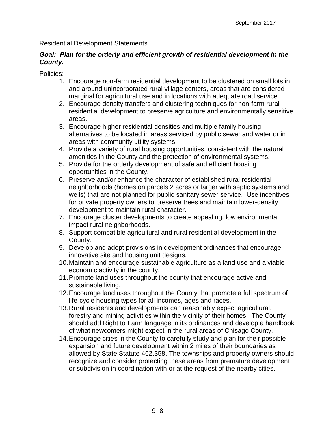#### Residential Development Statements

#### *Goal: Plan for the orderly and efficient growth of residential development in the County.*

- 1. Encourage non-farm residential development to be clustered on small lots in and around unincorporated rural village centers, areas that are considered marginal for agricultural use and in locations with adequate road service.
- 2. Encourage density transfers and clustering techniques for non-farm rural residential development to preserve agriculture and environmentally sensitive areas.
- 3. Encourage higher residential densities and multiple family housing alternatives to be located in areas serviced by public sewer and water or in areas with community utility systems.
- 4. Provide a variety of rural housing opportunities, consistent with the natural amenities in the County and the protection of environmental systems.
- 5. Provide for the orderly development of safe and efficient housing opportunities in the County.
- 6. Preserve and/or enhance the character of established rural residential neighborhoods (homes on parcels 2 acres or larger with septic systems and wells) that are not planned for public sanitary sewer service. Use incentives for private property owners to preserve trees and maintain lower-density development to maintain rural character.
- 7. Encourage cluster developments to create appealing, low environmental impact rural neighborhoods.
- 8. Support compatible agricultural and rural residential development in the County.
- 9. Develop and adopt provisions in development ordinances that encourage innovative site and housing unit designs.
- 10.Maintain and encourage sustainable agriculture as a land use and a viable economic activity in the county.
- 11.Promote land uses throughout the county that encourage active and sustainable living.
- 12.Encourage land uses throughout the County that promote a full spectrum of life-cycle housing types for all incomes, ages and races.
- 13.Rural residents and developments can reasonably expect agricultural, forestry and mining activities within the vicinity of their homes. The County should add Right to Farm language in its ordinances and develop a handbook of what newcomers might expect in the rural areas of Chisago County.
- 14.Encourage cities in the County to carefully study and plan for their possible expansion and future development within 2 miles of their boundaries as allowed by State Statute 462.358. The townships and property owners should recognize and consider protecting these areas from premature development or subdivision in coordination with or at the request of the nearby cities.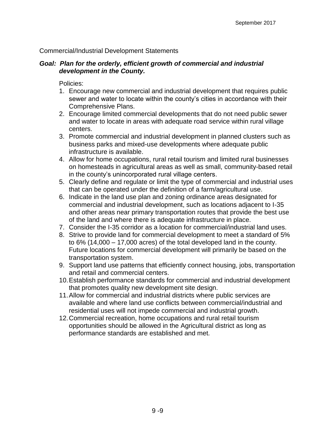#### Commercial/Industrial Development Statements

#### *Goal: Plan for the orderly, efficient growth of commercial and industrial development in the County.*

- 1. Encourage new commercial and industrial development that requires public sewer and water to locate within the county's cities in accordance with their Comprehensive Plans.
- 2. Encourage limited commercial developments that do not need public sewer and water to locate in areas with adequate road service within rural village centers.
- 3. Promote commercial and industrial development in planned clusters such as business parks and mixed-use developments where adequate public infrastructure is available.
- 4. Allow for home occupations, rural retail tourism and limited rural businesses on homesteads in agricultural areas as well as small, community-based retail in the county's unincorporated rural village centers.
- 5. Clearly define and regulate or limit the type of commercial and industrial uses that can be operated under the definition of a farm/agricultural use.
- 6. Indicate in the land use plan and zoning ordinance areas designated for commercial and industrial development, such as locations adjacent to I-35 and other areas near primary transportation routes that provide the best use of the land and where there is adequate infrastructure in place.
- 7. Consider the I-35 corridor as a location for commercial/industrial land uses.
- 8. Strive to provide land for commercial development to meet a standard of 5% to 6% (14,000 – 17,000 acres) of the total developed land in the county. Future locations for commercial development will primarily be based on the transportation system.
- 9. Support land use patterns that efficiently connect housing, jobs, transportation and retail and commercial centers.
- 10.Establish performance standards for commercial and industrial development that promotes quality new development site design.
- 11.Allow for commercial and industrial districts where public services are available and where land use conflicts between commercial/industrial and residential uses will not impede commercial and industrial growth.
- 12.Commercial recreation, home occupations and rural retail tourism opportunities should be allowed in the Agricultural district as long as performance standards are established and met.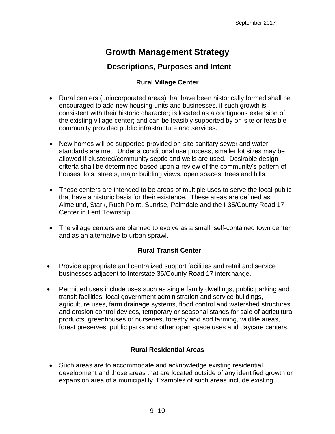# **Growth Management Strategy**

# **Descriptions, Purposes and Intent**

### **Rural Village Center**

- Rural centers (unincorporated areas) that have been historically formed shall be encouraged to add new housing units and businesses, if such growth is consistent with their historic character; is located as a contiguous extension of the existing village center; and can be feasibly supported by on-site or feasible community provided public infrastructure and services.
- New homes will be supported provided on-site sanitary sewer and water standards are met. Under a conditional use process, smaller lot sizes may be allowed if clustered/community septic and wells are used. Desirable design criteria shall be determined based upon a review of the community's pattern of houses, lots, streets, major building views, open spaces, trees and hills.
- These centers are intended to be areas of multiple uses to serve the local public that have a historic basis for their existence. These areas are defined as Almelund, Stark, Rush Point, Sunrise, Palmdale and the I-35/County Road 17 Center in Lent Township.
- The village centers are planned to evolve as a small, self-contained town center and as an alternative to urban sprawl.

# **Rural Transit Center**

- Provide appropriate and centralized support facilities and retail and service businesses adjacent to Interstate 35/County Road 17 interchange.
- Permitted uses include uses such as single family dwellings, public parking and transit facilities, local government administration and service buildings, agriculture uses, farm drainage systems, flood control and watershed structures and erosion control devices, temporary or seasonal stands for sale of agricultural products, greenhouses or nurseries, forestry and sod farming, wildlife areas, forest preserves, public parks and other open space uses and daycare centers.

# **Rural Residential Areas**

 Such areas are to accommodate and acknowledge existing residential development and those areas that are located outside of any identified growth or expansion area of a municipality. Examples of such areas include existing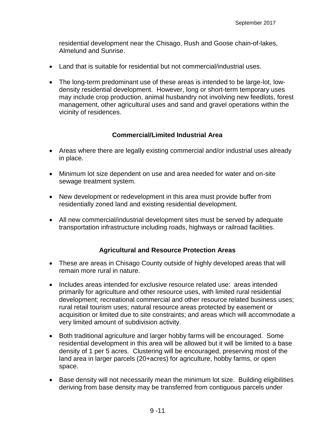residential development near the Chisago, Rush and Goose chain-of-lakes, Almelund and Sunrise.

- Land that is suitable for residential but not commercial/industrial uses.
- The long-term predominant use of these areas is intended to be large-lot, lowdensity residential development. However, long or short-term temporary uses may include crop production, animal husbandry not involving new feedlots, forest management, other agricultural uses and sand and gravel operations within the vicinity of residences.

#### **Commercial/Limited Industrial Area**

- Areas where there are legally existing commercial and/or industrial uses already in place.
- Minimum lot size dependent on use and area needed for water and on-site sewage treatment system.
- New development or redevelopment in this area must provide buffer from residentially zoned land and existing residential development.
- All new commercial/industrial development sites must be served by adequate transportation infrastructure including roads, highways or railroad facilities.

#### **Agricultural and Resource Protection Areas**

- These are areas in Chisago County outside of highly developed areas that will remain more rural in nature.
- Includes areas intended for exclusive resource related use: areas intended primarily for agriculture and other resource uses, with limited rural residential development; recreational commercial and other resource related business uses; rural retail tourism uses; natural resource areas protected by easement or acquisition or limited due to site constraints; and areas which will accommodate a very limited amount of subdivision activity.
- Both traditional agriculture and larger hobby farms will be encouraged. Some residential development in this area will be allowed but it will be limited to a base density of 1 per 5 acres. Clustering will be encouraged, preserving most of the land area in larger parcels (20+acres) for agriculture, hobby farms, or open space.
- Base density will not necessarily mean the minimum lot size. Building eligibilities deriving from base density may be transferred from contiguous parcels under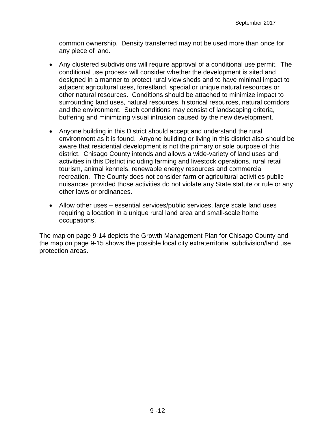common ownership. Density transferred may not be used more than once for any piece of land.

- Any clustered subdivisions will require approval of a conditional use permit. The conditional use process will consider whether the development is sited and designed in a manner to protect rural view sheds and to have minimal impact to adjacent agricultural uses, forestland, special or unique natural resources or other natural resources. Conditions should be attached to minimize impact to surrounding land uses, natural resources, historical resources, natural corridors and the environment. Such conditions may consist of landscaping criteria, buffering and minimizing visual intrusion caused by the new development.
- Anyone building in this District should accept and understand the rural environment as it is found. Anyone building or living in this district also should be aware that residential development is not the primary or sole purpose of this district. Chisago County intends and allows a wide-variety of land uses and activities in this District including farming and livestock operations, rural retail tourism, animal kennels, renewable energy resources and commercial recreation. The County does not consider farm or agricultural activities public nuisances provided those activities do not violate any State statute or rule or any other laws or ordinances.
- Allow other uses essential services/public services, large scale land uses requiring a location in a unique rural land area and small-scale home occupations.

The map on page 9-14 depicts the Growth Management Plan for Chisago County and the map on page 9-15 shows the possible local city extraterritorial subdivision/land use protection areas.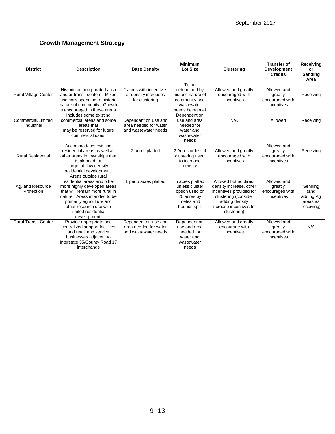#### **Growth Management Strategy**

| <b>District</b>                  | <b>Description</b>                                                                                                                                                                                                                                 | <b>Base Density</b>                                                   | <b>Minimum</b><br><b>Lot Size</b>                                                               | <b>Clustering</b>                                                                                                                                               | <b>Transfer of</b><br><b>Development</b><br><b>Credits</b> | Receiving<br>or<br>Sending<br>Area                     |
|----------------------------------|----------------------------------------------------------------------------------------------------------------------------------------------------------------------------------------------------------------------------------------------------|-----------------------------------------------------------------------|-------------------------------------------------------------------------------------------------|-----------------------------------------------------------------------------------------------------------------------------------------------------------------|------------------------------------------------------------|--------------------------------------------------------|
| Rural Village Center             | Historic unincorporated area<br>and/or transit centers. Mixed<br>use corresponding to historic<br>nature of community. Growth<br>is encouraged in these areas.                                                                                     | 2 acres with incentives<br>or density increases<br>for clustering     | To be<br>determined by<br>historic nature of<br>community and<br>wastewater<br>needs being met  | Allowed and greatly<br>encouraged with<br>incentives                                                                                                            | Allowed and<br>greatly<br>encouraged with<br>incentives    | Receiving                                              |
| Commercial/Limited<br>Industrial | Includes some existing<br>commercial areas and some<br>areas that<br>may be reserved for future<br>commercial uses.                                                                                                                                | Dependent on use and<br>area needed for water<br>and wastewater needs | Dependent on<br>use and area<br>needed for<br>water and<br>wastewater<br>needs                  | N/A                                                                                                                                                             | Allowed                                                    | Receiving                                              |
| <b>Rural Residential</b>         | Accommodates existing<br>residential areas as well as<br>other areas in townships that<br>is planned for<br>large lot, low density<br>residential development.                                                                                     | 2 acres platted                                                       | 2 Acres or less if<br>clustering used<br>to increase<br>density                                 | Allowed and greatly<br>encouraged with<br>incentives                                                                                                            | Allowed and<br>greatly<br>encouraged with<br>incentives    | Receiving                                              |
| Ag. and Resource<br>Protection   | Areas outside rural<br>residential areas and other<br>more highly developed areas<br>that will remain more rural in<br>nature. Areas intended to be<br>primarily agriculture and<br>other resource use with<br>limited residential<br>development. | 1 per 5 acres platted                                                 | 5 acres platted<br>unless cluster<br>option used or<br>20 acres by<br>metes and<br>bounds split | Allowed but no direct<br>density increase, other<br>incentives provided for<br>clustering (consider<br>adding density<br>increase incentives for<br>clustering) | Allowed and<br>greatly<br>encouraged with<br>incentives    | Sending<br>(and<br>adding Ag<br>areas as<br>receiving) |
| <b>Rural Transit Center</b>      | Provide appropriate and<br>centralized support facilities<br>and retail and service<br>businesses adjacent to<br>Interstate 35/County Road 17<br>interchange                                                                                       | Dependent on use and<br>area needed for water<br>and wastewater needs | Dependent on<br>use and area<br>needed for<br>water and<br>wastewater<br>needs                  | Allowed and greatly<br>encourage with<br>incentives                                                                                                             | Allowed and<br>greatly<br>encouraged with<br>incentives    | N/A                                                    |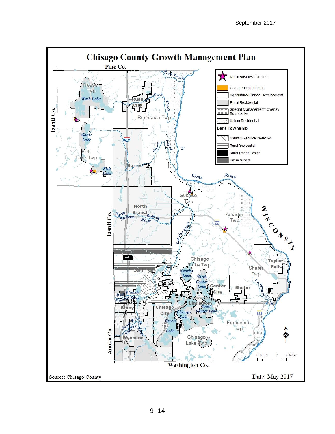